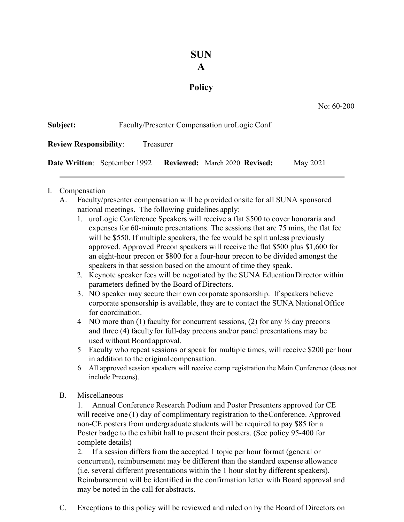## **SUN**

## **A**

## **Policy**

| Subject:                                   |                                     | Faculty/Presenter Compensation uroLogic Conf |          |  |
|--------------------------------------------|-------------------------------------|----------------------------------------------|----------|--|
| <b>Review Responsibility:</b><br>Treasurer |                                     |                                              |          |  |
|                                            | <b>Date Written:</b> September 1992 | <b>Reviewed:</b> March 2020 <b>Revised:</b>  | May 2021 |  |

## I. Compensation

- A. Faculty/presenter compensation will be provided onsite for all SUNA sponsored national meetings. The following guidelines apply:
	- 1. uroLogic Conference Speakers will receive a flat \$500 to cover honoraria and expenses for 60-minute presentations. The sessions that are 75 mins, the flat fee will be \$550. If multiple speakers, the fee would be split unless previously approved. Approved Precon speakers will receive the flat \$500 plus \$1,600 for an eight-hour precon or \$800 for a four-hour precon to be divided amongst the speakers in that session based on the amount of time they speak.
	- 2. Keynote speaker fees will be negotiated by the SUNA EducationDirector within parameters defined by the Board of Directors.
	- 3. NO speaker may secure their own corporate sponsorship. If speakers believe corporate sponsorship is available, they are to contact the SUNA NationalOffice for coordination.
	- 4 NO more than (1) faculty for concurrent sessions, (2) for any  $\frac{1}{2}$  day precons and three (4) facultyfor full-day precons and/or panel presentations may be used without Board approval.
	- 5 Faculty who repeat sessions or speak for multiple times, will receive \$200 per hour in addition to the original compensation.
	- 6 All approved session speakers will receive comp registration the Main Conference (does not include Precons).
- B. Miscellaneous

1. Annual Conference Research Podium and Poster Presenters approved for CE will receive one (1) day of complimentary registration to the Conference. Approved non-CE posters from undergraduate students will be required to pay \$85 for a Poster badge to the exhibit hall to present their posters. (See policy 95-400 for complete details)

2. If a session differs from the accepted 1 topic per hour format (general or concurrent), reimbursement may be different than the standard expense allowance (i.e. several different presentations within the 1 hour slot by different speakers). Reimbursement will be identified in the confirmation letter with Board approval and may be noted in the call for abstracts.

C. Exceptions to this policy will be reviewed and ruled on by the Board of Directors on